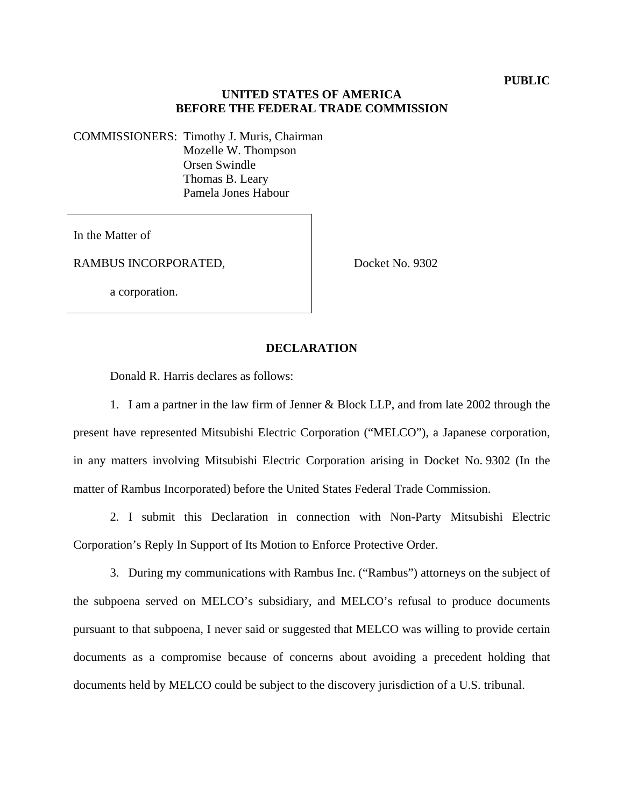## **UNITED STATES OF AMERICA BEFORE THE FEDERAL TRADE COMMISSION**

COMMISSIONERS: Timothy J. Muris, Chairman Mozelle W. Thompson Orsen Swindle Thomas B. Leary

Pamela Jones Habour

In the Matter of

RAMBUS INCORPORATED,

Docket No. 9302

a corporation.

## **DECLARATION**

Donald R. Harris declares as follows:

1. I am a partner in the law firm of Jenner & Block LLP, and from late 2002 through the present have represented Mitsubishi Electric Corporation ("MELCO"), a Japanese corporation, in any matters involving Mitsubishi Electric Corporation arising in Docket No. 9302 (In the matter of Rambus Incorporated) before the United States Federal Trade Commission.

2. I submit this Declaration in connection with Non-Party Mitsubishi Electric Corporation's Reply In Support of Its Motion to Enforce Protective Order.

3. During my communications with Rambus Inc. ("Rambus") attorneys on the subject of the subpoena served on MELCO's subsidiary, and MELCO's refusal to produce documents pursuant to that subpoena, I never said or suggested that MELCO was willing to provide certain documents as a compromise because of concerns about avoiding a precedent holding that documents held by MELCO could be subject to the discovery jurisdiction of a U.S. tribunal.